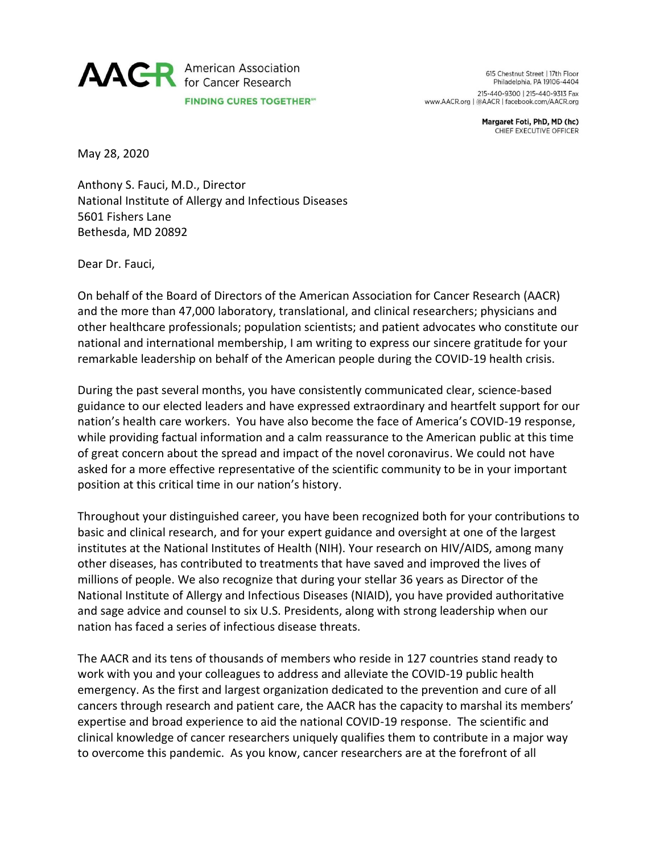

615 Chestnut Street | 17th Floor Philadelphia, PA 19106-4404 215-440-9300 | 215-440-9313 Fax www.AACR.org | @AACR | facebook.com/AACR.org

> Margaret Foti, PhD, MD (hc) CHIEF EXECUTIVE OFFICER

May 28, 2020

Anthony S. Fauci, M.D., Director National Institute of Allergy and Infectious Diseases 5601 Fishers Lane Bethesda, MD 20892

Dear Dr. Fauci,

On behalf of the Board of Directors of the American Association for Cancer Research (AACR) and the more than 47,000 laboratory, translational, and clinical researchers; physicians and other healthcare professionals; population scientists; and patient advocates who constitute our national and international membership, I am writing to express our sincere gratitude for your remarkable leadership on behalf of the American people during the COVID-19 health crisis.

During the past several months, you have consistently communicated clear, science-based guidance to our elected leaders and have expressed extraordinary and heartfelt support for our nation's health care workers. You have also become the face of America's COVID-19 response, while providing factual information and a calm reassurance to the American public at this time of great concern about the spread and impact of the novel coronavirus. We could not have asked for a more effective representative of the scientific community to be in your important position at this critical time in our nation's history.

Throughout your distinguished career, you have been recognized both for your contributions to basic and clinical research, and for your expert guidance and oversight at one of the largest institutes at the National Institutes of Health (NIH). Your research on HIV/AIDS, among many other diseases, has contributed to treatments that have saved and improved the lives of millions of people. We also recognize that during your stellar 36 years as Director of the National Institute of Allergy and Infectious Diseases (NIAID), you have provided authoritative and sage advice and counsel to six U.S. Presidents, along with strong leadership when our nation has faced a series of infectious disease threats.

The AACR and its tens of thousands of members who reside in 127 countries stand ready to work with you and your colleagues to address and alleviate the COVID-19 public health emergency. As the first and largest organization dedicated to the prevention and cure of all cancers through research and patient care, the AACR has the capacity to marshal its members' expertise and broad experience to aid the national COVID-19 response. The scientific and clinical knowledge of cancer researchers uniquely qualifies them to contribute in a major way to overcome this pandemic. As you know, cancer researchers are at the forefront of all